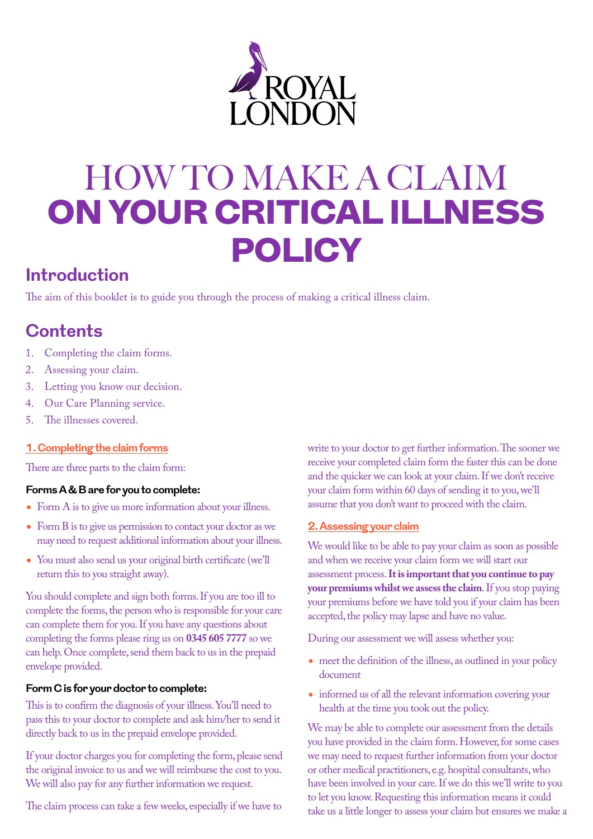

# HOW TO MAKE A CLAIM ON YOUR CRITICAL ILLNESS POLICY

# **Introduction**

The aim of this booklet is to guide you through the process of making a critical illness claim.

# **Contents**

- 1. Completing the claim forms.
- 2. Assessing your claim.
- 3. Letting you know our decision.
- 4. Our Care Planning service.
- 5. The illnesses covered.

# **1. Completing the claim forms**

There are three parts to the claim form:

# **Forms A & B are for you to complete:**

- Form A is to give us more information about your illness.
- Form B is to give us permission to contact your doctor as we may need to request additional information about your illness.
- You must also send us your original birth certificate (we'll return this to you straight away).

You should complete and sign both forms. If you are too ill to complete the forms, the person who is responsible for your care can complete them for you. If you have any questions about completing the forms please ring us on **0345 605 7777** so we can help. Once complete, send them back to us in the prepaid envelope provided.

# **Form C is for your doctor to complete:**

This is to confirm the diagnosis of your illness. You'll need to pass this to your doctor to complete and ask him/her to send it directly back to us in the prepaid envelope provided.

If your doctor charges you for completing the form, please send the original invoice to us and we will reimburse the cost to you. We will also pay for any further information we request.

The claim process can take a few weeks, especially if we have to

write to your doctor to get further information. The sooner we receive your completed claim form the faster this can be done and the quicker we can look at your claim. If we don't receive your claim form within 60 days of sending it to you, we'll assume that you don't want to proceed with the claim.

# **2. Assessing your claim**

We would like to be able to pay your claim as soon as possible and when we receive your claim form we will start our assessment process. **It is important that you continue to pay your premiums whilst we assess the claim**. If you stop paying your premiums before we have told you if your claim has been accepted, the policy may lapse and have no value.

During our assessment we will assess whether you:

- meet the definition of the illness, as outlined in your policy document
- informed us of all the relevant information covering your health at the time you took out the policy.

We may be able to complete our assessment from the details you have provided in the claim form. However, for some cases we may need to request further information from your doctor or other medical practitioners, e.g. hospital consultants, who have been involved in your care. If we do this we'll write to you to let you know. Requesting this information means it could take us a little longer to assess your claim but ensures we make a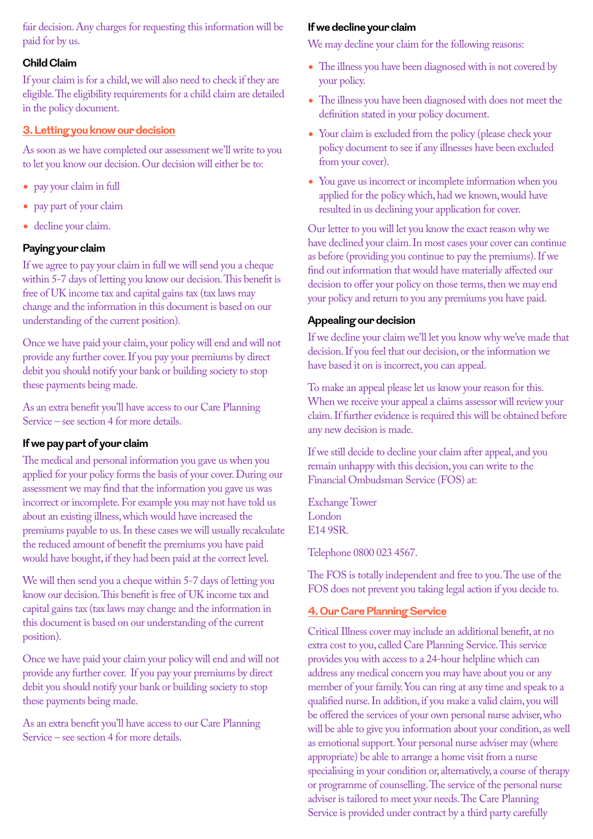fair decision. Any charges for requesting this information will be paid for by us.

# **Child Claim**

If your claim is for a child, we will also need to check if they are eligible. The eligibility requirements for a child claim are detailed in the policy document.

# **3. Letting you know our decision**

As soon as we have completed our assessment we'll write to you to let you know our decision. Our decision will either be to:

- pay your claim in full
- pay part of your claim
- decline your claim.

# **Paying your claim**

If we agree to pay your claim in full we will send you a cheque within 5-7 days of letting you know our decision. This benefit is free of UK income tax and capital gains tax (tax laws may change and the information in this document is based on our understanding of the current position).

Once we have paid your claim, your policy will end and will not provide any further cover. If you pay your premiums by direct debit you should notify your bank or building society to stop these payments being made.

As an extra benefit you'll have access to our Care Planning Service – see section 4 for more details.

# **If we pay part of your claim**

The medical and personal information you gave us when you applied for your policy forms the basis of your cover. During our assessment we may find that the information you gave us was incorrect or incomplete. For example you may not have told us about an existing illness, which would have increased the premiums payable to us. In these cases we will usually recalculate the reduced amount of benefit the premiums you have paid would have bought, if they had been paid at the correct level.

We will then send you a cheque within 5-7 days of letting you know our decision. This benefit is free of UK income tax and capital gains tax (tax laws may change and the information in this document is based on our understanding of the current position).

Once we have paid your claim your policy will end and will not provide any further cover. If you pay your premiums by direct debit you should notify your bank or building society to stop these payments being made.

As an extra benefit you'll have access to our Care Planning Service – see section 4 for more details.

## **If we decline your claim**

We may decline your claim for the following reasons:

- The illness you have been diagnosed with is not covered by your policy.
- The illness you have been diagnosed with does not meet the definition stated in your policy document.
- Your claim is excluded from the policy (please check your policy document to see if any illnesses have been excluded from your cover).
- You gave us incorrect or incomplete information when you applied for the policy which, had we known, would have resulted in us declining your application for cover.

Our letter to you will let you know the exact reason why we have declined your claim. In most cases your cover can continue as before (providing you continue to pay the premiums). If we find out information that would have materially affected our decision to offer your policy on those terms, then we may end your policy and return to you any premiums you have paid.

# **Appealing our decision**

If we decline your claim we'll let you know why we've made that decision. If you feel that our decision, or the information we have based it on is incorrect, you can appeal.

To make an appeal please let us know your reason for this. When we receive your appeal a claims assessor will review your claim. If further evidence is required this will be obtained before any new decision is made.

If we still decide to decline your claim after appeal, and you remain unhappy with this decision, you can write to the Financial Ombudsman Service (FOS) at:

Exchange Tower London E14 9SR.

Telephone 0800 023 4567.

The FOS is totally independent and free to you. The use of the FOS does not prevent you taking legal action if you decide to.

#### **4. Our Care Planning Service**

Critical Illness cover may include an additional benefit, at no extra cost to you, called Care Planning Service. This service provides you with access to a 24-hour helpline which can address any medical concern you may have about you or any member of your family. You can ring at any time and speak to a qualified nurse. In addition, if you make a valid claim, you will be offered the services of your own personal nurse adviser, who will be able to give you information about your condition, as well as emotional support. Your personal nurse adviser may (where appropriate) be able to arrange a home visit from a nurse specialising in your condition or, alternatively, a course of therapy or programme of counselling. The service of the personal nurse adviser is tailored to meet your needs. The Care Planning Service is provided under contract by a third party carefully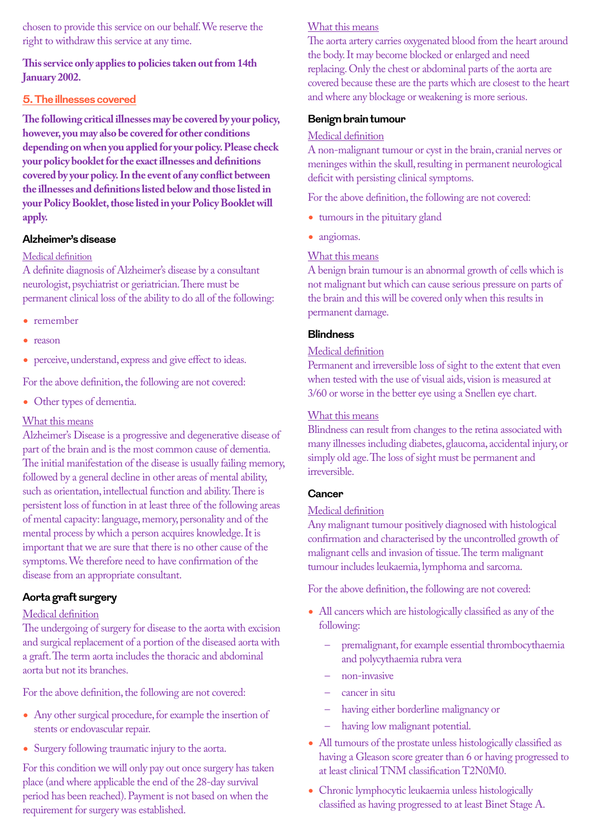chosen to provide this service on our behalf. We reserve the right to withdraw this service at any time.

# **This service only applies to policies taken out from 14th January 2002.**

# **5. The illnesses covered**

**The following critical illnesses may be covered by your policy, however, you may also be covered for other conditions depending on when you applied for your policy. Please check your policy booklet for the exact illnesses and definitions covered by your policy. In the event of any conflict between the illnesses and definitions listed below and those listed in your Policy Booklet, those listed in your Policy Booklet will apply.** 

## **Alzheimer's disease**

## Medical definition

A definite diagnosis of Alzheimer's disease by a consultant neurologist, psychiatrist or geriatrician. There must be permanent clinical loss of the ability to do all of the following:

- remember
- reason
- perceive, understand, express and give effect to ideas.

For the above definition, the following are not covered:

• Other types of dementia.

# What this means

Alzheimer's Disease is a progressive and degenerative disease of part of the brain and is the most common cause of dementia. The initial manifestation of the disease is usually failing memory, followed by a general decline in other areas of mental ability, such as orientation, intellectual function and ability. There is persistent loss of function in at least three of the following areas of mental capacity: language, memory, personality and of the mental process by which a person acquires knowledge. It is important that we are sure that there is no other cause of the symptoms. We therefore need to have confirmation of the disease from an appropriate consultant.

# **Aorta graft surgery**

# Medical definition

The undergoing of surgery for disease to the aorta with excision and surgical replacement of a portion of the diseased aorta with a graft. The term aorta includes the thoracic and abdominal aorta but not its branches.

For the above definition, the following are not covered:

- Any other surgical procedure, for example the insertion of stents or endovascular repair.
- Surgery following traumatic injury to the aorta.

For this condition we will only pay out once surgery has taken place (and where applicable the end of the 28-day survival period has been reached). Payment is not based on when the requirement for surgery was established.

## What this means

The aorta artery carries oxygenated blood from the heart around the body. It may become blocked or enlarged and need replacing. Only the chest or abdominal parts of the aorta are covered because these are the parts which are closest to the heart and where any blockage or weakening is more serious.

## **Benign brain tumour**

#### Medical definition

A non-malignant tumour or cyst in the brain, cranial nerves or meninges within the skull, resulting in permanent neurological deficit with persisting clinical symptoms.

For the above definition, the following are not covered:

- tumours in the pituitary gland
- angiomas.

#### What this means

A benign brain tumour is an abnormal growth of cells which is not malignant but which can cause serious pressure on parts of the brain and this will be covered only when this results in permanent damage.

## **Blindness**

#### Medical definition

Permanent and irreversible loss of sight to the extent that even when tested with the use of visual aids, vision is measured at 3/60 or worse in the better eye using a Snellen eye chart.

#### What this means

Blindness can result from changes to the retina associated with many illnesses including diabetes, glaucoma, accidental injury, or simply old age. The loss of sight must be permanent and irreversible.

# **Cancer**

#### Medical definition

Any malignant tumour positively diagnosed with histological confirmation and characterised by the uncontrolled growth of malignant cells and invasion of tissue. The term malignant tumour includes leukaemia, lymphoma and sarcoma.

For the above definition, the following are not covered:

- All cancers which are histologically classified as any of the following:
	- premalignant, for example essential thrombocythaemia and polycythaemia rubra vera
	- non-invasive
	- cancer in situ
	- having either borderline malignancy or
	- having low malignant potential.
- All tumours of the prostate unless histologically classified as having a Gleason score greater than 6 or having progressed to at least clinical TNM classification T2N0M0.
- Chronic lymphocytic leukaemia unless histologically classified as having progressed to at least Binet Stage A.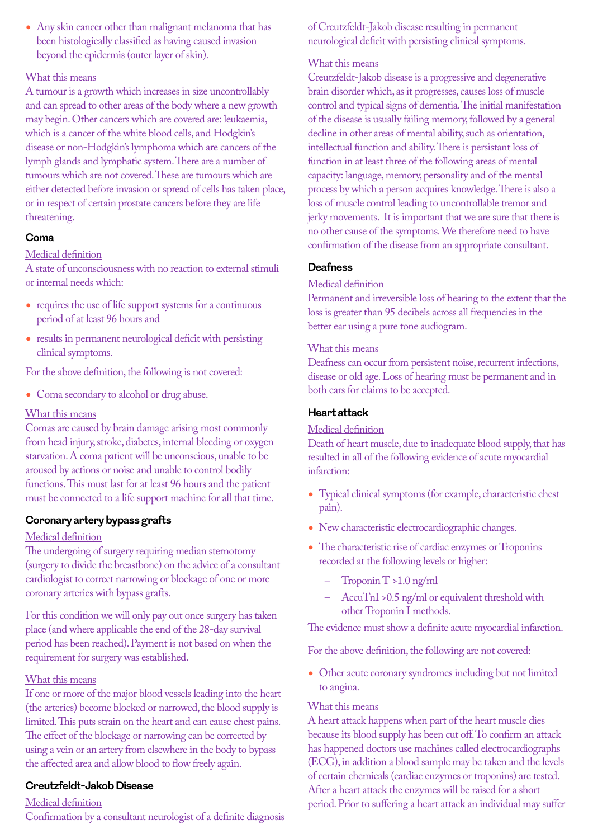• Any skin cancer other than malignant melanoma that has been histologically classified as having caused invasion beyond the epidermis (outer layer of skin).

# What this means

A tumour is a growth which increases in size uncontrollably and can spread to other areas of the body where a new growth may begin. Other cancers which are covered are: leukaemia, which is a cancer of the white blood cells, and Hodgkin's disease or non-Hodgkin's lymphoma which are cancers of the lymph glands and lymphatic system. There are a number of tumours which are not covered. These are tumours which are either detected before invasion or spread of cells has taken place, or in respect of certain prostate cancers before they are life threatening.

# **Coma**

# Medical definition

A state of unconsciousness with no reaction to external stimuli or internal needs which:

- requires the use of life support systems for a continuous period of at least 96 hours and
- results in permanent neurological deficit with persisting clinical symptoms.

For the above definition, the following is not covered:

• Coma secondary to alcohol or drug abuse.

# What this means

Comas are caused by brain damage arising most commonly from head injury, stroke, diabetes, internal bleeding or oxygen starvation. A coma patient will be unconscious, unable to be aroused by actions or noise and unable to control bodily functions. This must last for at least 96 hours and the patient must be connected to a life support machine for all that time.

# **Coronary artery bypass grafts**

# Medical definition

The undergoing of surgery requiring median sternotomy (surgery to divide the breastbone) on the advice of a consultant cardiologist to correct narrowing or blockage of one or more coronary arteries with bypass grafts.

For this condition we will only pay out once surgery has taken place (and where applicable the end of the 28-day survival period has been reached). Payment is not based on when the requirement for surgery was established.

# What this means

If one or more of the major blood vessels leading into the heart (the arteries) become blocked or narrowed, the blood supply is limited. This puts strain on the heart and can cause chest pains. The effect of the blockage or narrowing can be corrected by using a vein or an artery from elsewhere in the body to bypass the affected area and allow blood to flow freely again.

# **Creutzfeldt-Jakob Disease**

# Medical definition

Confirmation by a consultant neurologist of a definite diagnosis

of Creutzfeldt-Jakob disease resulting in permanent neurological deficit with persisting clinical symptoms.

# What this means

Creutzfeldt-Jakob disease is a progressive and degenerative brain disorder which, as it progresses, causes loss of muscle control and typical signs of dementia. The initial manifestation of the disease is usually failing memory, followed by a general decline in other areas of mental ability, such as orientation, intellectual function and ability. There is persistant loss of function in at least three of the following areas of mental capacity: language, memory, personality and of the mental process by which a person acquires knowledge. There is also a loss of muscle control leading to uncontrollable tremor and jerky movements. It is important that we are sure that there is no other cause of the symptoms. We therefore need to have confirmation of the disease from an appropriate consultant.

# **Deafness**

# Medical definition

Permanent and irreversible loss of hearing to the extent that the loss is greater than 95 decibels across all frequencies in the better ear using a pure tone audiogram.

# What this means

Deafness can occur from persistent noise, recurrent infections, disease or old age. Loss of hearing must be permanent and in both ears for claims to be accepted.

# **Heart attack**

# Medical definition

Death of heart muscle, due to inadequate blood supply, that has resulted in all of the following evidence of acute myocardial infarction:

- Typical clinical symptoms (for example, characteristic chest pain).
- New characteristic electrocardiographic changes.
- The characteristic rise of cardiac enzymes or Troponins recorded at the following levels or higher:
	- Troponin T >1.0 ng/ml
	- AccuTnI >0.5 ng/ml or equivalent threshold with other Troponin I methods.

The evidence must show a definite acute myocardial infarction.

For the above definition, the following are not covered:

• Other acute coronary syndromes including but not limited to angina.

# What this means

A heart attack happens when part of the heart muscle dies because its blood supply has been cut off. To confirm an attack has happened doctors use machines called electrocardiographs (ECG), in addition a blood sample may be taken and the levels of certain chemicals (cardiac enzymes or troponins) are tested. After a heart attack the enzymes will be raised for a short period. Prior to suffering a heart attack an individual may suffer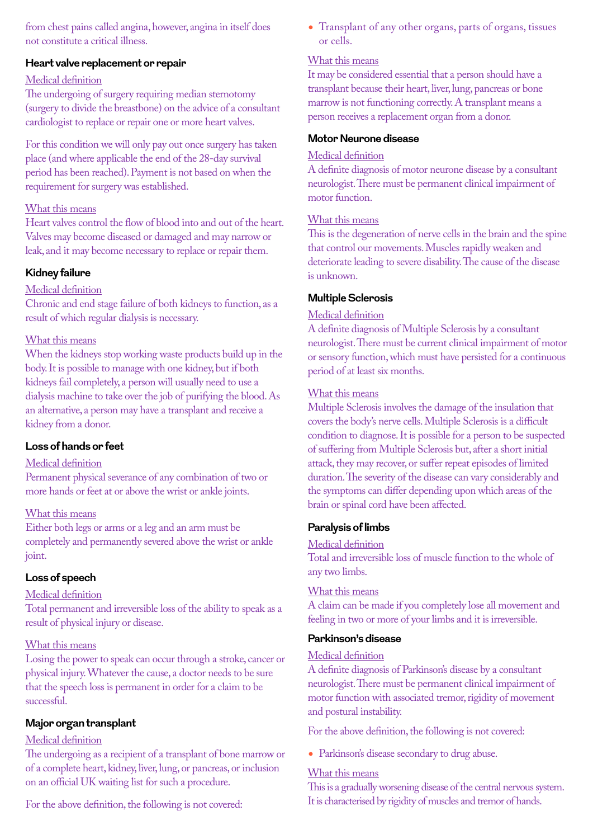from chest pains called angina, however, angina in itself does not constitute a critical illness.

# **Heart valve replacement or repair**

# Medical definition

The undergoing of surgery requiring median sternotomy (surgery to divide the breastbone) on the advice of a consultant cardiologist to replace or repair one or more heart valves.

For this condition we will only pay out once surgery has taken place (and where applicable the end of the 28-day survival period has been reached). Payment is not based on when the requirement for surgery was established.

# What this means

Heart valves control the flow of blood into and out of the heart. Valves may become diseased or damaged and may narrow or leak, and it may become necessary to replace or repair them.

# **Kidney failure**

# Medical definition

Chronic and end stage failure of both kidneys to function, as a result of which regular dialysis is necessary.

# What this means

When the kidneys stop working waste products build up in the body. It is possible to manage with one kidney, but if both kidneys fail completely, a person will usually need to use a dialysis machine to take over the job of purifying the blood. As an alternative, a person may have a transplant and receive a kidney from a donor.

# **Loss of hands or feet**

# Medical definition

Permanent physical severance of any combination of two or more hands or feet at or above the wrist or ankle joints.

# What this means

Either both legs or arms or a leg and an arm must be completely and permanently severed above the wrist or ankle joint.

# **Loss of speech**

# Medical definition

Total permanent and irreversible loss of the ability to speak as a result of physical injury or disease.

# What this means

Losing the power to speak can occur through a stroke, cancer or physical injury. Whatever the cause, a doctor needs to be sure that the speech loss is permanent in order for a claim to be successful.

# **Major organ transplant**

# Medical definition

The undergoing as a recipient of a transplant of bone marrow or of a complete heart, kidney, liver, lung, or pancreas, or inclusion on an official UK waiting list for such a procedure.

For the above definition, the following is not covered:

• Transplant of any other organs, parts of organs, tissues or cells.

# What this means

It may be considered essential that a person should have a transplant because their heart, liver, lung, pancreas or bone marrow is not functioning correctly. A transplant means a person receives a replacement organ from a donor.

# **Motor Neurone disease**

#### Medical definition

A definite diagnosis of motor neurone disease by a consultant neurologist. There must be permanent clinical impairment of motor function.

## What this means

This is the degeneration of nerve cells in the brain and the spine that control our movements. Muscles rapidly weaken and deteriorate leading to severe disability. The cause of the disease is unknown.

## **Multiple Sclerosis**

## Medical definition

A definite diagnosis of Multiple Sclerosis by a consultant neurologist. There must be current clinical impairment of motor or sensory function, which must have persisted for a continuous period of at least six months.

# What this means

Multiple Sclerosis involves the damage of the insulation that covers the body's nerve cells. Multiple Sclerosis is a difficult condition to diagnose. It is possible for a person to be suspected of suffering from Multiple Sclerosis but, after a short initial attack, they may recover, or suffer repeat episodes of limited duration. The severity of the disease can vary considerably and the symptoms can differ depending upon which areas of the brain or spinal cord have been affected.

# **Paralysis of limbs**

#### Medical definition

Total and irreversible loss of muscle function to the whole of any two limbs.

# What this means

A claim can be made if you completely lose all movement and feeling in two or more of your limbs and it is irreversible.

# **Parkinson's disease**

# Medical definition

A definite diagnosis of Parkinson's disease by a consultant neurologist. There must be permanent clinical impairment of motor function with associated tremor, rigidity of movement and postural instability.

For the above definition, the following is not covered:

• Parkinson's disease secondary to drug abuse.

# What this means

This is a gradually worsening disease of the central nervous system. It is characterised by rigidity of muscles and tremor of hands.